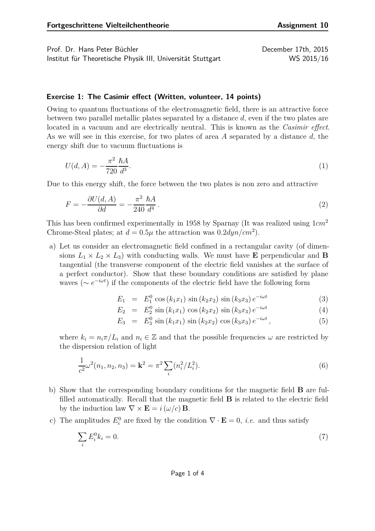Prof. Dr. Hans Peter Büchler December 17th, 2015 Institut für Theoretische Physik III, Universität Stuttgart WS 2015/16

## **Exercise 1: The Casimir effect (Written, volunteer, 14 points)**

Owing to quantum fluctuations of the electromagnetic field, there is an attractive force between two parallel metallic plates separated by a distance *d*, even if the two plates are located in a vacuum and are electrically neutral. This is known as the *Casimir effect*. As we will see in this exercise, for two plates of area *A* separated by a distance *d*, the energy shift due to vacuum fluctuations is

$$
U(d, A) = -\frac{\pi^2}{720} \frac{\hbar A}{d^3}.
$$
\n(1)

Due to this energy shift, the force between the two plates is non zero and attractive

$$
F = -\frac{\partial U(d, A)}{\partial d} = -\frac{\pi^2}{240} \frac{\hbar A}{d^4} \,. \tag{2}
$$

This has been confirmed experimentally in 1958 by Sparnay (It was realized using 1*cm*<sup>2</sup> Chrome-Steal plates; at  $d = 0.5\mu$  the attraction was  $0.2dyn/cm^2$ .

a) Let us consider an electromagnetic field confined in a rectangular cavity (of dimensions  $L_1 \times L_2 \times L_3$ ) with conducting walls. We must have **E** perpendicular and **B** tangential (the transverse component of the electric field vanishes at the surface of a perfect conductor). Show that these boundary conditions are satisfied by plane waves ( $\sim e^{-i\omega t}$ ) if the components of the electric field have the following form

$$
E_1 = E_1^0 \cos(k_1 x_1) \sin(k_2 x_2) \sin(k_3 x_3) e^{-i\omega t}
$$
 (3)

$$
E_2 = E_2^0 \sin(k_1 x_1) \cos(k_2 x_2) \sin(k_3 x_3) e^{-i\omega t}
$$
 (4)

<span id="page-0-1"></span><span id="page-0-0"></span>
$$
E_3 = E_3^0 \sin(k_1 x_1) \sin(k_2 x_2) \cos(k_3 x_3) e^{-i\omega t}, \qquad (5)
$$

where  $k_i = n_i \pi / L_i$  and  $n_i \in \mathbb{Z}$  and that the possible frequencies  $\omega$  are restricted by the dispersion relation of light

$$
\frac{1}{c^2}\omega^2(n_1, n_2, n_3) = \mathbf{k}^2 = \pi^2 \sum_i (n_i^2 / L_i^2).
$$
 (6)

- b) Show that the corresponding boundary conditions for the magnetic field **B** are fulfilled automatically. Recall that the magnetic field **B** is related to the electric field by the induction law  $\nabla \times \mathbf{E} = i(\omega/c) \mathbf{B}$ .
- c) The amplitudes  $E_i^0$  are fixed by the condition  $\nabla \cdot \mathbf{E} = 0$ , *i.e.* and thus satisfy

$$
\sum_{i} E_i^0 k_i = 0. \tag{7}
$$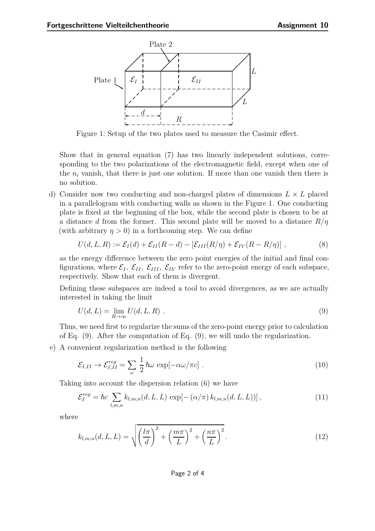

Figure 1: Setup of the two plates used to measure the Casimir effect.

Show that in general equation [\(7\)](#page-0-0) has two linearly independent solutions, corresponding to the two polarizations of the electromagnetic field, except when one of the  $n_i$  vanish, that there is just one solution. If more than one vanish then there is no solution.

d) Consider now two conducting and non-charged plates of dimensions *L* × *L* placed in a parallelogram with conducting walls as shown in the Figure 1. One conducting plate is fixed at the beginning of the box, while the second plate is chosen to be at a distance *d* from the former. This second plate will be moved to a distance *R/η* (with arbitrary  $\eta > 0$ ) in a forthcoming step. We can define

<span id="page-1-1"></span>
$$
U(d, L, R) := \mathcal{E}_I(d) + \mathcal{E}_{II}(R - d) - [\mathcal{E}_{III}(R/\eta) + \mathcal{E}_{IV}(R - R/\eta)], \qquad (8)
$$

as the energy difference between the zero point energies of the initial and final configurations, where  $\mathcal{E}_I$ ,  $\mathcal{E}_{II}$ ,  $\mathcal{E}_{III}$ ,  $\mathcal{E}_{IV}$  refer to the zero-point energy of each subspace, respectively. Show that each of them is divergent.

Defining these subspaces are indeed a tool to avoid divergences, as we are actually interested in taking the limit

<span id="page-1-0"></span>
$$
U(d, L) = \lim_{R \to \infty} U(d, L, R) . \tag{9}
$$

Thus, we need first to regularize the sums of the zero-point energy prior to calculation of Eq. [\(9\)](#page-1-0). After the computation of Eq. [\(9\)](#page-1-0), we will undo the regularization.

e) A convenient regularization method is the following

$$
\mathcal{E}_{I,II} \to \mathcal{E}_{I,II}^{reg} = \sum_{\omega} \frac{1}{2} \hbar \omega \exp[-\alpha \omega/\pi c] \ . \tag{10}
$$

Taking into account the dispersion relation [\(6\)](#page-0-1) we have

<span id="page-1-2"></span>
$$
\mathcal{E}_I^{reg} = \hbar c \sum_{l,m,n} k_{l,m,n}(d,L,L) \exp[-(\alpha/\pi) k_{l,m,n}(d,L,L))], \qquad (11)
$$

where

$$
k_{l,m,n}(d,L,L) = \sqrt{\left(\frac{l\pi}{d}\right)^2 + \left(\frac{m\pi}{L}\right)^2 + \left(\frac{n\pi}{L}\right)^2}.
$$
\n(12)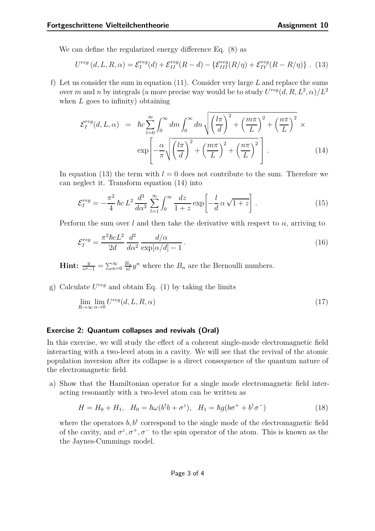We can define the regularized energy difference Eq. [\(8\)](#page-1-1) as

<span id="page-2-0"></span>
$$
U^{reg}(d, L, R, \alpha) = \mathcal{E}_I^{reg}(d) + \mathcal{E}_{II}^{reg}(R - d) - \{ \mathcal{E}_{III}^{reg}(R/\eta) + \mathcal{E}_{IV}^{reg}(R - R/\eta) \} .
$$
 (13)

f) Let us consider the sum in equation [\(11\)](#page-1-2). Consider very large *L* and replace the sums over *m* and *n* by integrals (a more precise way would be to study  $U^{reg}(d, R, L^2, \alpha)/L^2$ when *L* goes to infinity) obtaining

<span id="page-2-1"></span>
$$
\mathcal{E}_{I}^{reg}(d, L, \alpha) = \hbar c \sum_{l=0}^{\infty} \int_{0}^{\infty} dm \int_{0}^{\infty} dn \sqrt{\left(\frac{l\pi}{d}\right)^{2} + \left(\frac{m\pi}{L}\right)^{2} + \left(\frac{n\pi}{L}\right)^{2}} \times \exp\left[-\frac{\alpha}{\pi} \sqrt{\left(\frac{l\pi}{d}\right)^{2} + \left(\frac{m\pi}{L}\right)^{2} + \left(\frac{n\pi}{L}\right)^{2}}\right].
$$
\n(14)

In equation [\(13\)](#page-2-0) the term with  $l = 0$  does not contribute to the sum. Therefore we can neglect it. Transform equation [\(14\)](#page-2-1) into

$$
\mathcal{E}_I^{reg} = -\frac{\pi^2}{4}\,\hbar c\,L^2\,\frac{d^3}{d\alpha^3}\,\sum_{l=1}^{\infty}\int_0^{\infty}\frac{dz}{1+z}\exp\left[-\frac{l}{d}\,\alpha\,\sqrt{1+z}\right].\tag{15}
$$

Perform the sum over *l* and then take the derivative with respect to  $\alpha$ , arriving to

$$
\mathcal{E}_I^{reg} = \frac{\pi^2 \hbar c L^2}{2d} \frac{d^2}{d\alpha^2} \frac{d/\alpha}{\exp[\alpha/d] - 1}.
$$
\n(16)

**Hint:**  $\frac{y}{e^y-1} = \sum_{n=0}^{\infty} \frac{B_n}{n!} y^n$  where the *B<sub>n</sub>* are the Bernoulli numbers.

g) Calculate *U reg* and obtain Eq. (1) by taking the limits

$$
\lim_{R \to \infty} \lim_{\alpha \to 0} U^{reg}(d, L, R, \alpha) \tag{17}
$$

## **Exercise 2: Quantum collapses and revivals (Oral)**

In this exercise, we will study the effect of a coherent single-mode electromagnetic field interacting with a two-level atom in a cavity. We will see that the revival of the atomic population inversion after its collapse is a direct consequence of the quantum nature of the electromagnetic field.

a) Show that the Hamiltonian operator for a single mode electromagnetic field interacting resonantly with a two-level atom can be written as

$$
H = H_0 + H_1, \quad H_0 = \hbar\omega(b^{\dagger}b + \sigma^z), \quad H_1 = \hbar g(b\sigma^+ + b^{\dagger}\sigma^-) \tag{18}
$$

where the operators  $b, b^{\dagger}$  correspond to the single mode of the electromagnetic field of the cavity, and  $\sigma^z, \sigma^+, \sigma^-$  to the spin operator of the atom. This is known as the the Jaynes-Cummings model.